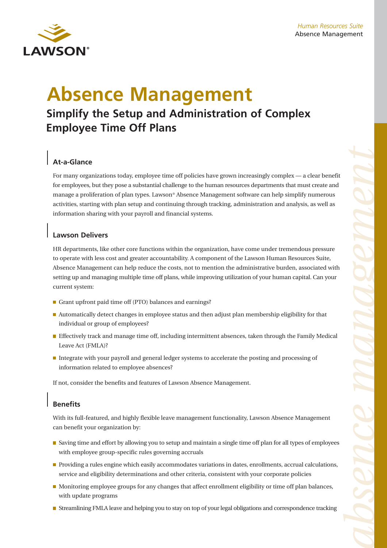

# **Absence Management**

## **Simplify the Setup and Administration of Complex Employee Time Off Plans**

## **At-a-Glance**

For many organizations today, employee time off policies have grown increasingly complex — a clear benefit for employees, but they pose a substantial challenge to the human resources departments that must create and manage a proliferation of plan types. Lawson® Absence Management software can help simplify numerous activities, starting with plan setup and continuing through tracking, administration and analysis, as well as information sharing with your payroll and financial systems.

### **Lawson Delivers**

HR departments, like other core functions within the organization, have come under tremendous pressure to operate with less cost and greater accountability. A component of the Lawson Human Resources Suite, Absence Management can help reduce the costs, not to mention the administrative burden, associated with setting up and managing multiple time off plans, while improving utilization of your human capital. Can your current system:

- Grant upfront paid time off (PTO) balances and earnings?
- **Automatically detect changes in employee status and then adjust plan membership eligibility for that** individual or group of employees?
- **Effectively track and manage time off, including intermittent absences, taken through the Family Medical** Leave Act (FMLA)?
- Integrate with your payroll and general ledger systems to accelerate the posting and processing of information related to employee absences?

If not, consider the benefits and features of Lawson Absence Management.

## **Benefits**

With its full-featured, and highly flexible leave management functionality, Lawson Absence Management can benefit your organization by:

- Saving time and effort by allowing you to setup and maintain a single time off plan for all types of employees with employee group-specific rules governing accruals
- **Providing a rules engine which easily accommodates variations in dates, enrollments, accrual calculations,** service and eligibility determinations and other criteria, consistent with your corporate policies
- Monitoring employee groups for any changes that affect enrollment eligibility or time off plan balances, with update programs
- Streamlining FMLA leave and helping you to stay on top of your legal obligations and correspondence tracking